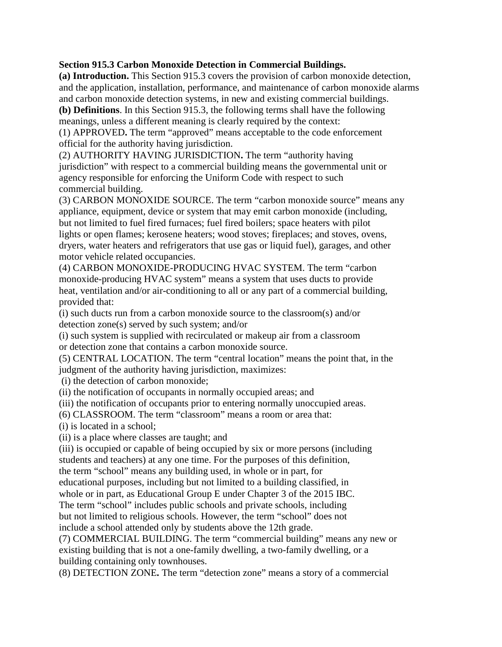#### **Section 915.3 Carbon Monoxide Detection in Commercial Buildings.**

**(a) Introduction.** This Section 915.3 covers the provision of carbon monoxide detection, and the application, installation, performance, and maintenance of carbon monoxide alarms and carbon monoxide detection systems, in new and existing commercial buildings.

**(b) Definitions**. In this Section 915.3, the following terms shall have the following meanings, unless a different meaning is clearly required by the context: (1) APPROVED**.** The term "approved" means acceptable to the code enforcement

official for the authority having jurisdiction.

(2) AUTHORITY HAVING JURISDICTION**.** The term "authority having jurisdiction" with respect to a commercial building means the governmental unit or agency responsible for enforcing the Uniform Code with respect to such commercial building.

(3) CARBON MONOXIDE SOURCE. The term "carbon monoxide source" means any appliance, equipment, device or system that may emit carbon monoxide (including, but not limited to fuel fired furnaces; fuel fired boilers; space heaters with pilot lights or open flames; kerosene heaters; wood stoves; fireplaces; and stoves, ovens, dryers, water heaters and refrigerators that use gas or liquid fuel), garages, and other motor vehicle related occupancies.

(4) CARBON MONOXIDE-PRODUCING HVAC SYSTEM. The term "carbon monoxide-producing HVAC system" means a system that uses ducts to provide heat, ventilation and/or air-conditioning to all or any part of a commercial building, provided that:

(i) such ducts run from a carbon monoxide source to the classroom(s) and/or detection zone(s) served by such system; and/or

(i) such system is supplied with recirculated or makeup air from a classroom or detection zone that contains a carbon monoxide source.

(5) CENTRAL LOCATION. The term "central location" means the point that, in the judgment of the authority having jurisdiction, maximizes:

(i) the detection of carbon monoxide;

(ii) the notification of occupants in normally occupied areas; and

(iii) the notification of occupants prior to entering normally unoccupied areas.

(6) CLASSROOM. The term "classroom" means a room or area that:

(i) is located in a school;

(ii) is a place where classes are taught; and

(iii) is occupied or capable of being occupied by six or more persons (including students and teachers) at any one time. For the purposes of this definition,

the term "school" means any building used, in whole or in part, for

educational purposes, including but not limited to a building classified, in

whole or in part, as Educational Group E under Chapter 3 of the 2015 IBC.

The term "school" includes public schools and private schools, including but not limited to religious schools. However, the term "school" does not

include a school attended only by students above the 12th grade.

(7) COMMERCIAL BUILDING. The term "commercial building" means any new or existing building that is not a one-family dwelling, a two-family dwelling, or a building containing only townhouses.

(8) DETECTION ZONE**.** The term "detection zone" means a story of a commercial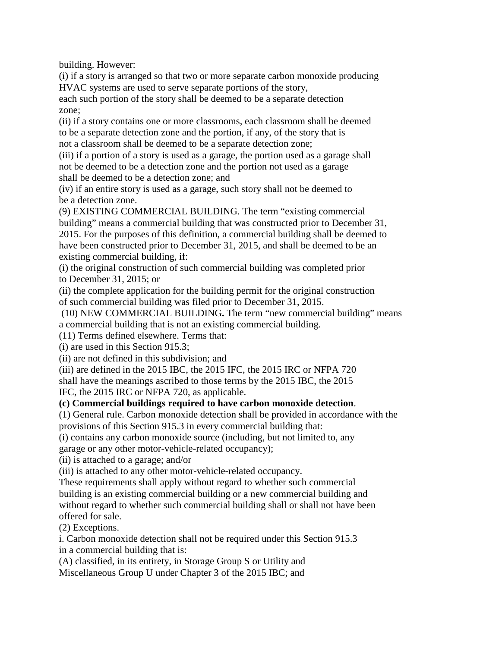building. However:

(i) if a story is arranged so that two or more separate carbon monoxide producing HVAC systems are used to serve separate portions of the story,

each such portion of the story shall be deemed to be a separate detection zone;

(ii) if a story contains one or more classrooms, each classroom shall be deemed to be a separate detection zone and the portion, if any, of the story that is not a classroom shall be deemed to be a separate detection zone;

(iii) if a portion of a story is used as a garage, the portion used as a garage shall not be deemed to be a detection zone and the portion not used as a garage shall be deemed to be a detection zone; and

(iv) if an entire story is used as a garage, such story shall not be deemed to be a detection zone.

(9) EXISTING COMMERCIAL BUILDING. The term "existing commercial building" means a commercial building that was constructed prior to December 31, 2015. For the purposes of this definition, a commercial building shall be deemed to have been constructed prior to December 31, 2015, and shall be deemed to be an existing commercial building, if:

(i) the original construction of such commercial building was completed prior to December 31, 2015; or

(ii) the complete application for the building permit for the original construction of such commercial building was filed prior to December 31, 2015.

 (10) NEW COMMERCIAL BUILDING**.** The term "new commercial building" means a commercial building that is not an existing commercial building.

(11) Terms defined elsewhere. Terms that:

(i) are used in this Section 915.3;

(ii) are not defined in this subdivision; and

(iii) are defined in the 2015 IBC, the 2015 IFC, the 2015 IRC or NFPA 720 shall have the meanings ascribed to those terms by the 2015 IBC, the 2015 IFC, the 2015 IRC or NFPA 720, as applicable.

## **(c) Commercial buildings required to have carbon monoxide detection**.

(1) General rule. Carbon monoxide detection shall be provided in accordance with the provisions of this Section 915.3 in every commercial building that:

(i) contains any carbon monoxide source (including, but not limited to, any

garage or any other motor-vehicle-related occupancy);

(ii) is attached to a garage; and/or

(iii) is attached to any other motor-vehicle-related occupancy.

These requirements shall apply without regard to whether such commercial building is an existing commercial building or a new commercial building and without regard to whether such commercial building shall or shall not have been offered for sale.

(2) Exceptions.

i. Carbon monoxide detection shall not be required under this Section 915.3 in a commercial building that is:

(A) classified, in its entirety, in Storage Group S or Utility and

Miscellaneous Group U under Chapter 3 of the 2015 IBC; and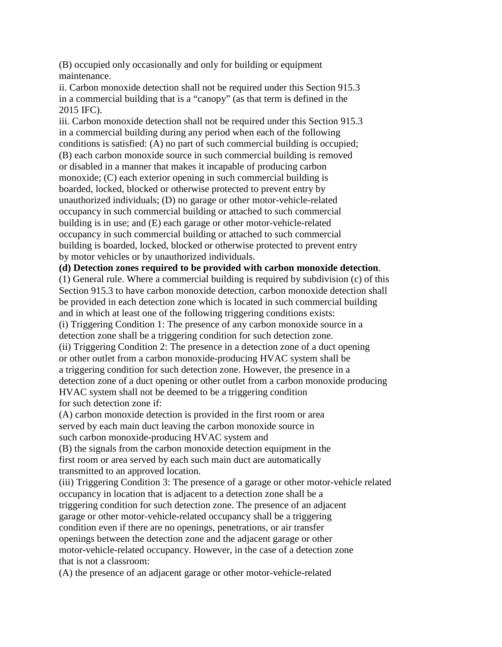(B) occupied only occasionally and only for building or equipment maintenance.

ii. Carbon monoxide detection shall not be required under this Section 915.3 in a commercial building that is a "canopy" (as that term is defined in the 2015 IFC).

iii. Carbon monoxide detection shall not be required under this Section 915.3 in a commercial building during any period when each of the following conditions is satisfied: (A) no part of such commercial building is occupied; (B) each carbon monoxide source in such commercial building is removed or disabled in a manner that makes it incapable of producing carbon monoxide; (C) each exterior opening in such commercial building is boarded, locked, blocked or otherwise protected to prevent entry by unauthorized individuals; (D) no garage or other motor-vehicle-related occupancy in such commercial building or attached to such commercial building is in use; and (E) each garage or other motor-vehicle-related occupancy in such commercial building or attached to such commercial building is boarded, locked, blocked or otherwise protected to prevent entry by motor vehicles or by unauthorized individuals.

#### **(d) Detection zones required to be provided with carbon monoxide detection**.

(1) General rule. Where a commercial building is required by subdivision (c) of this Section 915.3 to have carbon monoxide detection, carbon monoxide detection shall be provided in each detection zone which is located in such commercial building and in which at least one of the following triggering conditions exists: (i) Triggering Condition 1: The presence of any carbon monoxide source in a detection zone shall be a triggering condition for such detection zone. (ii) Triggering Condition 2: The presence in a detection zone of a duct opening or other outlet from a carbon monoxide-producing HVAC system shall be a triggering condition for such detection zone. However, the presence in a detection zone of a duct opening or other outlet from a carbon monoxide producing HVAC system shall not be deemed to be a triggering condition for such detection zone if:

(A) carbon monoxide detection is provided in the first room or area served by each main duct leaving the carbon monoxide source in such carbon monoxide-producing HVAC system and

(B) the signals from the carbon monoxide detection equipment in the first room or area served by each such main duct are automatically transmitted to an approved location.

(iii) Triggering Condition 3: The presence of a garage or other motor-vehicle related occupancy in location that is adjacent to a detection zone shall be a triggering condition for such detection zone. The presence of an adjacent garage or other motor-vehicle-related occupancy shall be a triggering condition even if there are no openings, penetrations, or air transfer openings between the detection zone and the adjacent garage or other motor-vehicle-related occupancy. However, in the case of a detection zone that is not a classroom:

(A) the presence of an adjacent garage or other motor-vehicle-related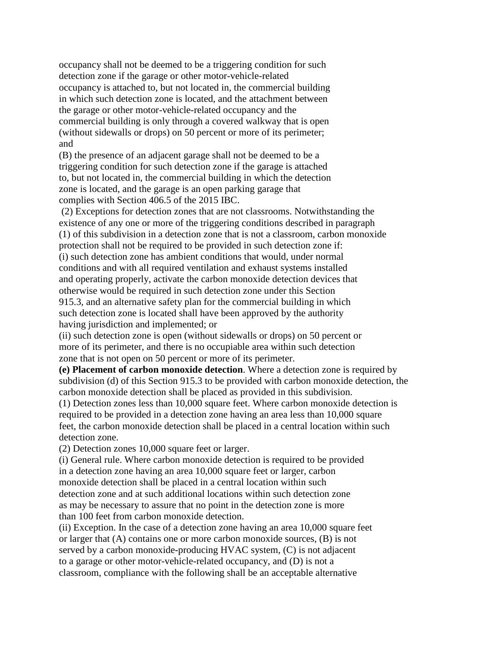occupancy shall not be deemed to be a triggering condition for such detection zone if the garage or other motor-vehicle-related occupancy is attached to, but not located in, the commercial building in which such detection zone is located, and the attachment between the garage or other motor-vehicle-related occupancy and the commercial building is only through a covered walkway that is open (without sidewalls or drops) on 50 percent or more of its perimeter; and

(B) the presence of an adjacent garage shall not be deemed to be a triggering condition for such detection zone if the garage is attached to, but not located in, the commercial building in which the detection zone is located, and the garage is an open parking garage that complies with Section 406.5 of the 2015 IBC.

 (2) Exceptions for detection zones that are not classrooms. Notwithstanding the existence of any one or more of the triggering conditions described in paragraph (1) of this subdivision in a detection zone that is not a classroom, carbon monoxide protection shall not be required to be provided in such detection zone if: (i) such detection zone has ambient conditions that would, under normal conditions and with all required ventilation and exhaust systems installed and operating properly, activate the carbon monoxide detection devices that otherwise would be required in such detection zone under this Section 915.3, and an alternative safety plan for the commercial building in which such detection zone is located shall have been approved by the authority having jurisdiction and implemented; or

(ii) such detection zone is open (without sidewalls or drops) on 50 percent or more of its perimeter, and there is no occupiable area within such detection zone that is not open on 50 percent or more of its perimeter.

**(e) Placement of carbon monoxide detection**. Where a detection zone is required by subdivision (d) of this Section 915.3 to be provided with carbon monoxide detection, the carbon monoxide detection shall be placed as provided in this subdivision.

(1) Detection zones less than 10,000 square feet. Where carbon monoxide detection is required to be provided in a detection zone having an area less than 10,000 square feet, the carbon monoxide detection shall be placed in a central location within such detection zone.

(2) Detection zones 10,000 square feet or larger.

(i) General rule. Where carbon monoxide detection is required to be provided in a detection zone having an area 10,000 square feet or larger, carbon monoxide detection shall be placed in a central location within such detection zone and at such additional locations within such detection zone as may be necessary to assure that no point in the detection zone is more than 100 feet from carbon monoxide detection.

(ii) Exception. In the case of a detection zone having an area 10,000 square feet or larger that (A) contains one or more carbon monoxide sources, (B) is not served by a carbon monoxide-producing HVAC system, (C) is not adjacent to a garage or other motor-vehicle-related occupancy, and (D) is not a classroom, compliance with the following shall be an acceptable alternative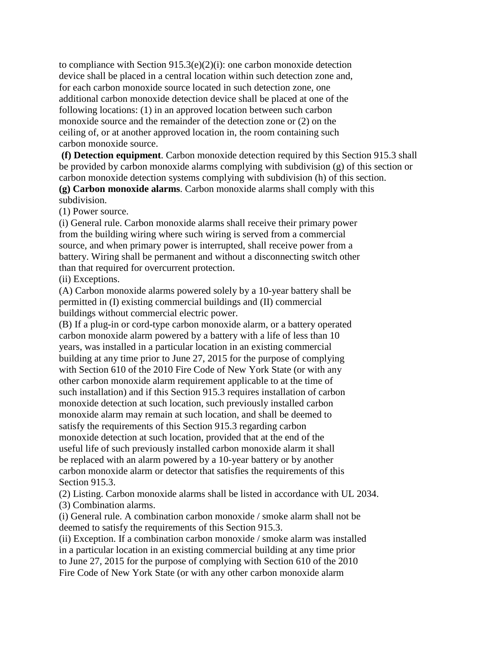to compliance with Section 915.3(e)(2)(i): one carbon monoxide detection device shall be placed in a central location within such detection zone and, for each carbon monoxide source located in such detection zone, one additional carbon monoxide detection device shall be placed at one of the following locations: (1) in an approved location between such carbon monoxide source and the remainder of the detection zone or (2) on the ceiling of, or at another approved location in, the room containing such carbon monoxide source.

 **(f) Detection equipment**. Carbon monoxide detection required by this Section 915.3 shall be provided by carbon monoxide alarms complying with subdivision (g) of this section or carbon monoxide detection systems complying with subdivision (h) of this section. **(g) Carbon monoxide alarms**. Carbon monoxide alarms shall comply with this subdivision.

(1) Power source.

(i) General rule. Carbon monoxide alarms shall receive their primary power from the building wiring where such wiring is served from a commercial source, and when primary power is interrupted, shall receive power from a battery. Wiring shall be permanent and without a disconnecting switch other than that required for overcurrent protection.

(ii) Exceptions.

(A) Carbon monoxide alarms powered solely by a 10-year battery shall be permitted in (I) existing commercial buildings and (II) commercial buildings without commercial electric power.

(B) If a plug-in or cord-type carbon monoxide alarm, or a battery operated carbon monoxide alarm powered by a battery with a life of less than 10 years, was installed in a particular location in an existing commercial building at any time prior to June 27, 2015 for the purpose of complying with Section 610 of the 2010 Fire Code of New York State (or with any other carbon monoxide alarm requirement applicable to at the time of such installation) and if this Section 915.3 requires installation of carbon monoxide detection at such location, such previously installed carbon monoxide alarm may remain at such location, and shall be deemed to satisfy the requirements of this Section 915.3 regarding carbon monoxide detection at such location, provided that at the end of the useful life of such previously installed carbon monoxide alarm it shall be replaced with an alarm powered by a 10-year battery or by another carbon monoxide alarm or detector that satisfies the requirements of this Section 915.3.

(2) Listing. Carbon monoxide alarms shall be listed in accordance with UL 2034. (3) Combination alarms.

(i) General rule. A combination carbon monoxide / smoke alarm shall not be deemed to satisfy the requirements of this Section 915.3.

(ii) Exception. If a combination carbon monoxide / smoke alarm was installed in a particular location in an existing commercial building at any time prior to June 27, 2015 for the purpose of complying with Section 610 of the 2010 Fire Code of New York State (or with any other carbon monoxide alarm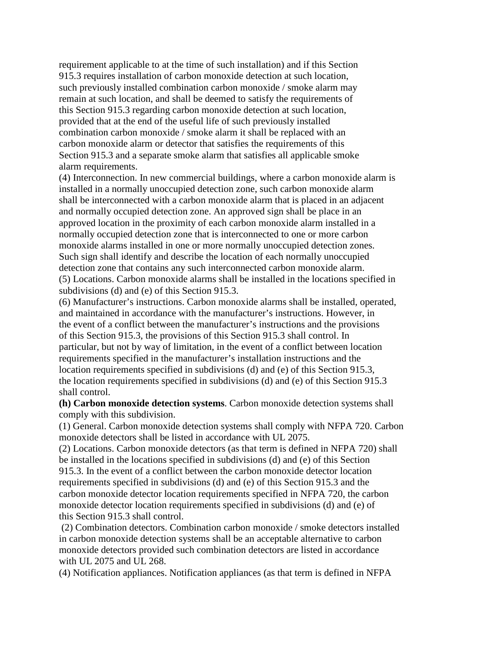requirement applicable to at the time of such installation) and if this Section 915.3 requires installation of carbon monoxide detection at such location, such previously installed combination carbon monoxide / smoke alarm may remain at such location, and shall be deemed to satisfy the requirements of this Section 915.3 regarding carbon monoxide detection at such location, provided that at the end of the useful life of such previously installed combination carbon monoxide / smoke alarm it shall be replaced with an carbon monoxide alarm or detector that satisfies the requirements of this Section 915.3 and a separate smoke alarm that satisfies all applicable smoke alarm requirements.

(4) Interconnection. In new commercial buildings, where a carbon monoxide alarm is installed in a normally unoccupied detection zone, such carbon monoxide alarm shall be interconnected with a carbon monoxide alarm that is placed in an adjacent and normally occupied detection zone. An approved sign shall be place in an approved location in the proximity of each carbon monoxide alarm installed in a normally occupied detection zone that is interconnected to one or more carbon monoxide alarms installed in one or more normally unoccupied detection zones. Such sign shall identify and describe the location of each normally unoccupied detection zone that contains any such interconnected carbon monoxide alarm. (5) Locations. Carbon monoxide alarms shall be installed in the locations specified in subdivisions (d) and (e) of this Section 915.3.

(6) Manufacturer's instructions. Carbon monoxide alarms shall be installed, operated, and maintained in accordance with the manufacturer's instructions. However, in the event of a conflict between the manufacturer's instructions and the provisions of this Section 915.3, the provisions of this Section 915.3 shall control. In particular, but not by way of limitation, in the event of a conflict between location requirements specified in the manufacturer's installation instructions and the location requirements specified in subdivisions (d) and (e) of this Section 915.3, the location requirements specified in subdivisions (d) and (e) of this Section 915.3 shall control.

**(h) Carbon monoxide detection systems**. Carbon monoxide detection systems shall comply with this subdivision.

(1) General. Carbon monoxide detection systems shall comply with NFPA 720. Carbon monoxide detectors shall be listed in accordance with UL 2075.

(2) Locations. Carbon monoxide detectors (as that term is defined in NFPA 720) shall be installed in the locations specified in subdivisions (d) and (e) of this Section 915.3. In the event of a conflict between the carbon monoxide detector location requirements specified in subdivisions (d) and (e) of this Section 915.3 and the carbon monoxide detector location requirements specified in NFPA 720, the carbon monoxide detector location requirements specified in subdivisions (d) and (e) of this Section 915.3 shall control.

 (2) Combination detectors. Combination carbon monoxide / smoke detectors installed in carbon monoxide detection systems shall be an acceptable alternative to carbon monoxide detectors provided such combination detectors are listed in accordance with UL 2075 and UL 268.

(4) Notification appliances. Notification appliances (as that term is defined in NFPA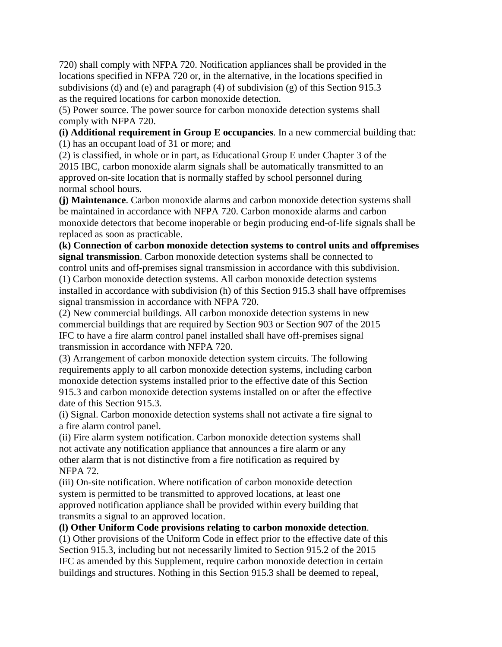720) shall comply with NFPA 720. Notification appliances shall be provided in the locations specified in NFPA 720 or, in the alternative, in the locations specified in subdivisions (d) and (e) and paragraph (4) of subdivision (g) of this Section 915.3 as the required locations for carbon monoxide detection.

(5) Power source. The power source for carbon monoxide detection systems shall comply with NFPA 720.

**(i) Additional requirement in Group E occupancies**. In a new commercial building that: (1) has an occupant load of 31 or more; and

(2) is classified, in whole or in part, as Educational Group E under Chapter 3 of the 2015 IBC, carbon monoxide alarm signals shall be automatically transmitted to an approved on-site location that is normally staffed by school personnel during normal school hours.

**(j) Maintenance**. Carbon monoxide alarms and carbon monoxide detection systems shall be maintained in accordance with NFPA 720. Carbon monoxide alarms and carbon monoxide detectors that become inoperable or begin producing end-of-life signals shall be replaced as soon as practicable.

**(k) Connection of carbon monoxide detection systems to control units and offpremises signal transmission**. Carbon monoxide detection systems shall be connected to control units and off-premises signal transmission in accordance with this subdivision. (1) Carbon monoxide detection systems. All carbon monoxide detection systems installed in accordance with subdivision (h) of this Section 915.3 shall have offpremises signal transmission in accordance with NFPA 720.

(2) New commercial buildings. All carbon monoxide detection systems in new commercial buildings that are required by Section 903 or Section 907 of the 2015 IFC to have a fire alarm control panel installed shall have off-premises signal transmission in accordance with NFPA 720.

(3) Arrangement of carbon monoxide detection system circuits. The following requirements apply to all carbon monoxide detection systems, including carbon monoxide detection systems installed prior to the effective date of this Section 915.3 and carbon monoxide detection systems installed on or after the effective date of this Section 915.3.

(i) Signal. Carbon monoxide detection systems shall not activate a fire signal to a fire alarm control panel.

(ii) Fire alarm system notification. Carbon monoxide detection systems shall not activate any notification appliance that announces a fire alarm or any other alarm that is not distinctive from a fire notification as required by NFPA 72.

(iii) On-site notification. Where notification of carbon monoxide detection system is permitted to be transmitted to approved locations, at least one approved notification appliance shall be provided within every building that transmits a signal to an approved location.

## **(l) Other Uniform Code provisions relating to carbon monoxide detection**.

(1) Other provisions of the Uniform Code in effect prior to the effective date of this Section 915.3, including but not necessarily limited to Section 915.2 of the 2015 IFC as amended by this Supplement, require carbon monoxide detection in certain buildings and structures. Nothing in this Section 915.3 shall be deemed to repeal,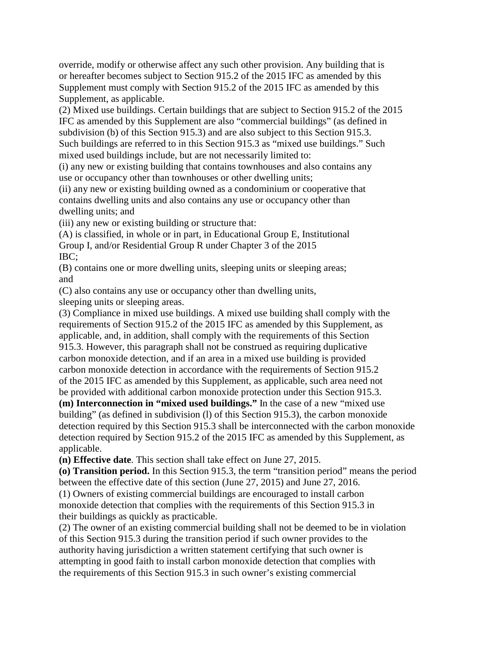override, modify or otherwise affect any such other provision. Any building that is or hereafter becomes subject to Section 915.2 of the 2015 IFC as amended by this Supplement must comply with Section 915.2 of the 2015 IFC as amended by this Supplement, as applicable.

(2) Mixed use buildings. Certain buildings that are subject to Section 915.2 of the 2015 IFC as amended by this Supplement are also "commercial buildings" (as defined in subdivision (b) of this Section 915.3) and are also subject to this Section 915.3. Such buildings are referred to in this Section 915.3 as "mixed use buildings." Such mixed used buildings include, but are not necessarily limited to:

(i) any new or existing building that contains townhouses and also contains any use or occupancy other than townhouses or other dwelling units;

(ii) any new or existing building owned as a condominium or cooperative that contains dwelling units and also contains any use or occupancy other than dwelling units; and

(iii) any new or existing building or structure that:

(A) is classified, in whole or in part, in Educational Group E, Institutional Group I, and/or Residential Group R under Chapter 3 of the 2015 IBC;

(B) contains one or more dwelling units, sleeping units or sleeping areas; and

(C) also contains any use or occupancy other than dwelling units, sleeping units or sleeping areas.

(3) Compliance in mixed use buildings. A mixed use building shall comply with the requirements of Section 915.2 of the 2015 IFC as amended by this Supplement, as applicable, and, in addition, shall comply with the requirements of this Section 915.3. However, this paragraph shall not be construed as requiring duplicative carbon monoxide detection, and if an area in a mixed use building is provided carbon monoxide detection in accordance with the requirements of Section 915.2 of the 2015 IFC as amended by this Supplement, as applicable, such area need not be provided with additional carbon monoxide protection under this Section 915.3. **(m) Interconnection in "mixed used buildings."** In the case of a new "mixed use building" (as defined in subdivision (l) of this Section 915.3), the carbon monoxide detection required by this Section 915.3 shall be interconnected with the carbon monoxide

detection required by Section 915.2 of the 2015 IFC as amended by this Supplement, as applicable.

**(n) Effective date**. This section shall take effect on June 27, 2015.

**(o) Transition period.** In this Section 915.3, the term "transition period" means the period between the effective date of this section (June 27, 2015) and June 27, 2016.

(1) Owners of existing commercial buildings are encouraged to install carbon monoxide detection that complies with the requirements of this Section 915.3 in their buildings as quickly as practicable.

(2) The owner of an existing commercial building shall not be deemed to be in violation of this Section 915.3 during the transition period if such owner provides to the authority having jurisdiction a written statement certifying that such owner is attempting in good faith to install carbon monoxide detection that complies with the requirements of this Section 915.3 in such owner's existing commercial